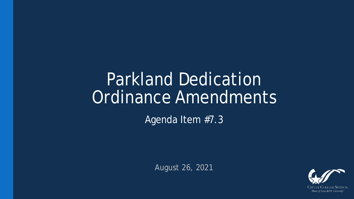## Parkland Dedication Ordinance Amendments

Agenda Item #7.3

August 26, 2021

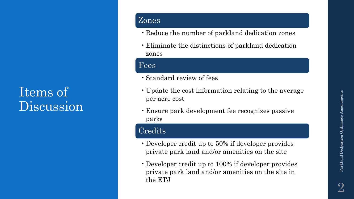#### Zones

- Reduce the number of parkland dedication zones
- Eliminate the distinctions of parkland dedication zones

#### Fees

Items of

Discussion

- •Standard review of fees
- Update the cost information relating to the average per acre cost
- Ensure park development fee recognizes passive parks

#### Credits

- •Developer credit up to 50% if developer provides private park land and/or amenities on the site
- •Developer credit up to 100% if developer provides private park land and/or amenities on the site in the ETJ

Parkland Dedication Ordinance Amendments

Parkland Dedication Ordinance Amendments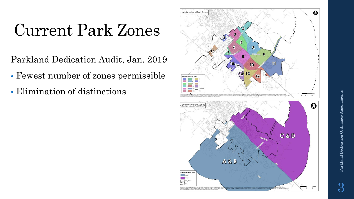# Current Park Zones

Parkland Dedication Audit, Jan. 2019

- Fewest number of zones permissible
- Elimination of distinctions



3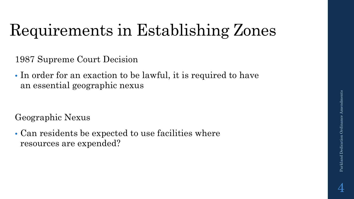# Requirements in Establishing Zones

1987 Supreme Court Decision

• In order for an exaction to be lawful, it is required to have an essential geographic nexus

Geographic Nexus

• Can residents be expected to use facilities where resources are expended?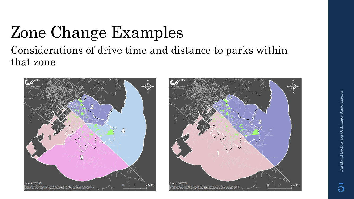### Zone Change Examples Considerations of drive time and distance to parks within that zone



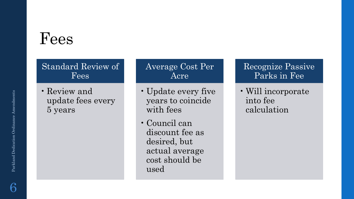## Fees

#### Standard Review of Fees

• Review and update fees every 5 years

#### Average Cost Per Acre

- Update every five years to coincide with fees
- Council can discount fee as desired, but actual average cost should be used

#### Recognize Passive Parks in Fee

• Will incorporate into fee calculation

6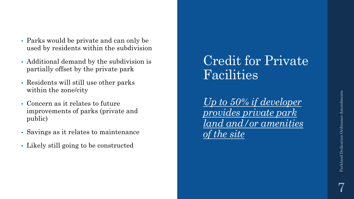- Parks would be private and can only be used by residents within the subdivision
- Additional demand by the subdivision is partially offset by the private park
- Residents will still use other parks within the zone/city
- Concern as it relates to future improvements of parks (private and public)
- Savings as it relates to maintenance
- Likely still going to be constructed

### Credit for Private Facilities

*Up to 50% if developer provides private park land and/or amenities of the site*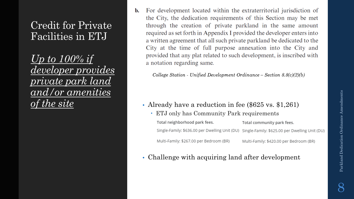#### Credit for Private Facilities in ETJ

*Up to 100% if developer provides private park land and/or amenities of the site*

For development located within the extraterritorial jurisdiction of b. the City, the dedication requirements of this Section may be met through the creation of private parkland in the same amount required as set forth in Appendix I provided the developer enters into a written agreement that all such private parkland be dedicated to the City at the time of full purpose annexation into the City and provided that any plat related to such development, is inscribed with a notation regarding same.

College Station - Unified Development Ordinance – Section  $8.8(c)(2)(b)$ 

- Already have a reduction in fee (\$625 vs. \$1,261)
	- ETJ only has Community Park requirements

Total neighborhood park fees. Total community park fees. Single-Family: \$636.00 per Dwelling Unit (DU) Single-Family: \$625.00 per Dwelling Unit (DU) Multi-Family: \$267.00 per Bedroom (BR) Multi-Family: \$420.00 per Bedroom (BR)

• Challenge with acquiring land after development